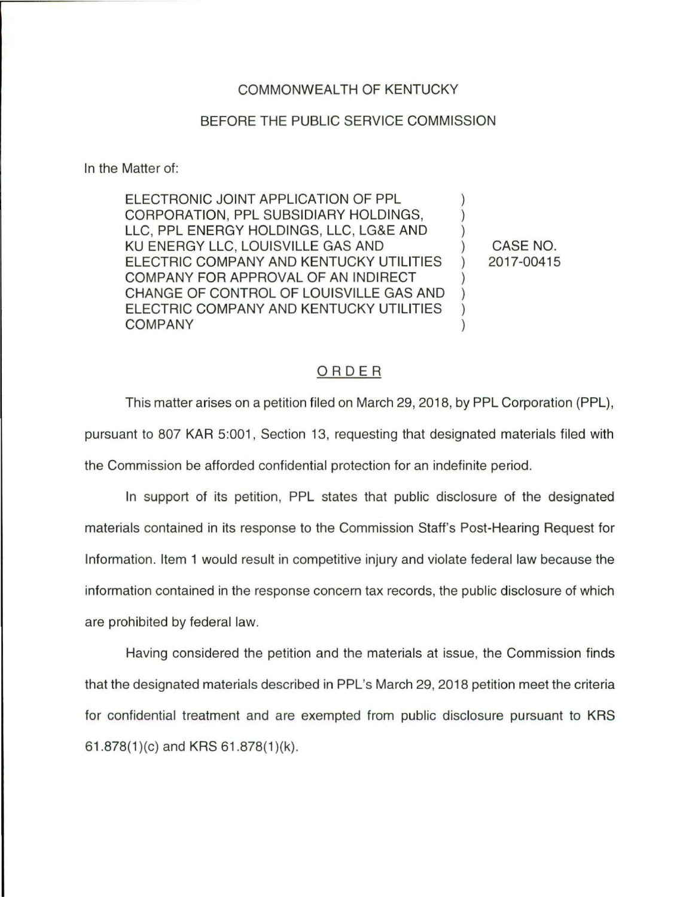## COMMONWEALTH OF KENTUCKY

## BEFORE THE PUBLIC SERVICE COMMISSION

In the Matter of:

ELECTRONIC JOINT APPLICATION OF PPL CORPORATION, PPL SUBSIDIARY HOLDINGS, ) LLC, PPL ENERGY HOLDINGS, LLC, LG&E AND ) KU ENERGY LLC, LOUISVILLE GAS AND ) CASE NO. ELECTRIC COMPANY AND KENTUCKY UTILITIES ) 2017-00415 COMPANY FOR APPROVAL OF AN INDIRECT ) CHANGE OF CONTROL OF LOUISVILLE GAS AND ) ELECTRIC COMPANY AND KENTUCKY UTILITIES ) COMPANY )

## ORDER

This matter arises on a petition filed on March 29, 2018, by PPL Corporation (PPL), pursuant to 807 KAR 5:001, Section 13, requesting that designated materials filed with the Commission be afforded confidential protection for an indefinite period.

In support of its petition, PPL states that public disclosure of the designated materials contained in its response to the Commission Staff's Post-Hearing Request for Information. Item 1 would result in competitive injury and violate federal law because the information contained in the response concern tax records, the public disclosure of which are prohibited by federal law.

Having considered the petition and the materials at issue, the Commission finds that the designated materials described in PPL's March 29, 2018 petition meet the criteria for confidential treatment and are exempted from public disclosure pursuant to KRS 61.878(1)(c) and KRS 61.878(1)(k).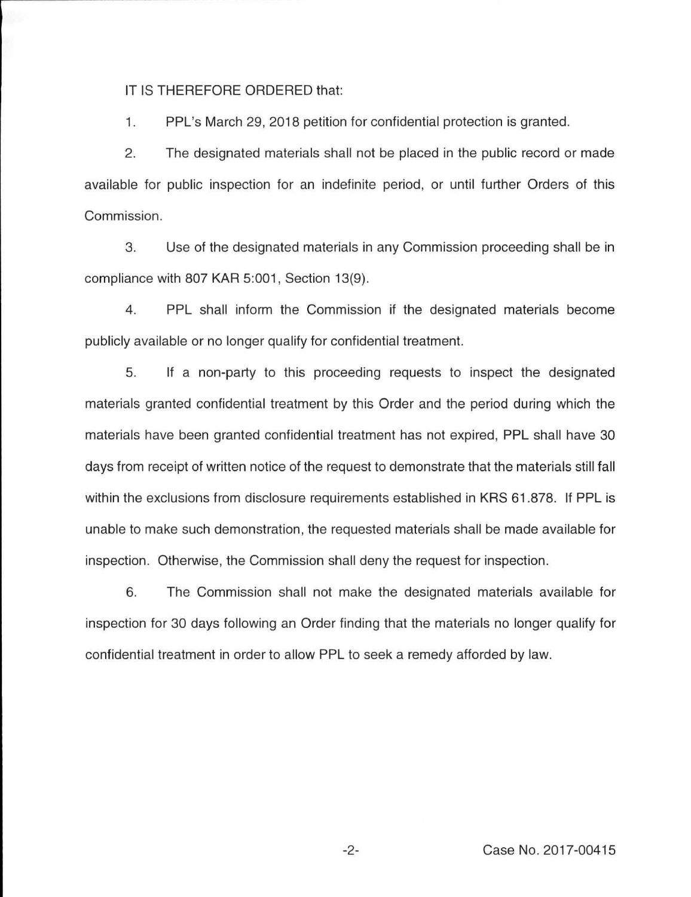IT IS THEREFORE ORDERED that:

1. PPL's March 29, 2018 petition for confidential protection is granted.

2. The designated materials shall not be placed in the public record or made available for public inspection for an indefinite period, or until further Orders of this Commission.

3. Use of the designated materials in any Commission proceeding shall be in compliance with 807 KAR 5:001, Section 13(9).

4. PPL shall inform the Commission if the designated materials become publicly available or no longer qualify for confidential treatment.

5. If a non-party to this proceeding requests to inspect the designated materials granted confidential treatment by this Order and the period during which the materials have been granted confidential treatment has not expired, PPL shall have 30 days from receipt of written notice of the request to demonstrate that the materials still fall within the exclusions from disclosure requirements established in KRS 61 .878. If PPL is unable to make such demonstration, the requested materials shall be made available for inspection. Otherwise, the Commission shall deny the request for inspection.

6. The Commission shall not make the designated materials available for inspection for 30 days following an Order finding that the materials no longer qualify for confidential treatment in order to allow PPL to seek a remedy afforded by law.

-2- Case No. 2017-00415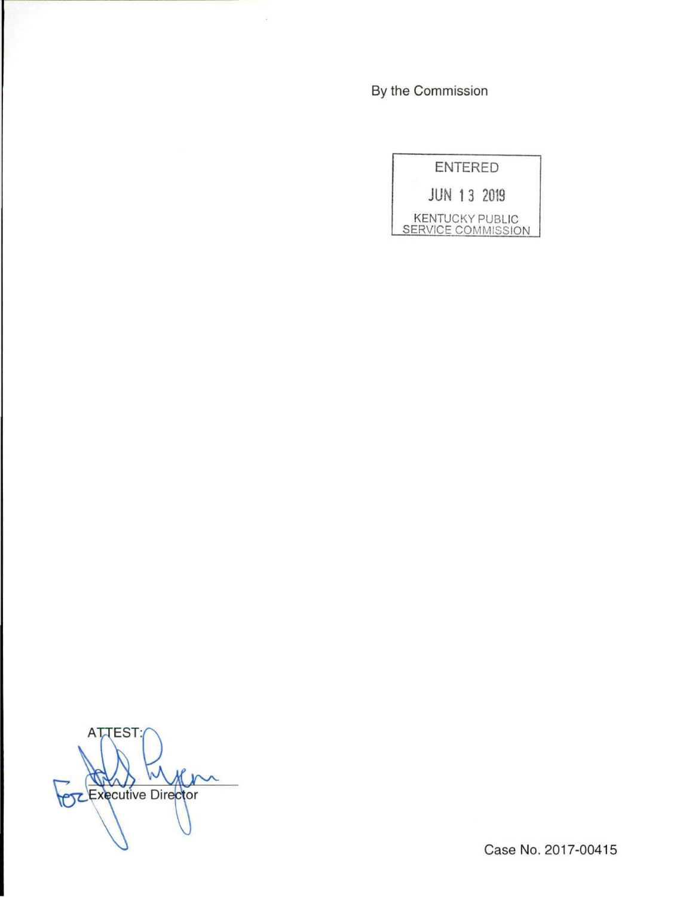By the Commission

 $\hat{\mathcal{A}}$ 

|                                              | <b>ENTERED</b> |  |
|----------------------------------------------|----------------|--|
| <b>JUN 13 2019</b>                           |                |  |
| <b>KENTUCKY PUBLIC</b><br>SERVICE COMMISSION |                |  |

**ATTEST**  $M$ **POZ Executive Director** 

Case No. 2017-00415